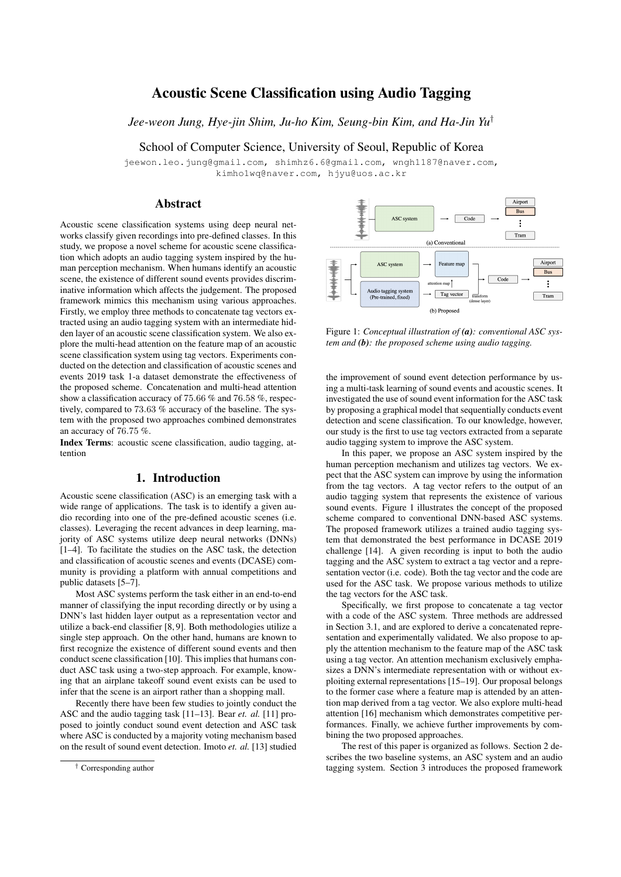# Acoustic Scene Classification using Audio Tagging

*Jee-weon Jung, Hye-jin Shim, Ju-ho Kim, Seung-bin Kim, and Ha-Jin Yu*†

School of Computer Science, University of Seoul, Republic of Korea

jeewon.leo.jung@gmail.com, shimhz6.6@gmail.com, wngh1187@naver.com, kimho1wq@naver.com, hjyu@uos.ac.kr

### Abstract

Acoustic scene classification systems using deep neural networks classify given recordings into pre-defined classes. In this study, we propose a novel scheme for acoustic scene classification which adopts an audio tagging system inspired by the human perception mechanism. When humans identify an acoustic scene, the existence of different sound events provides discriminative information which affects the judgement. The proposed framework mimics this mechanism using various approaches. Firstly, we employ three methods to concatenate tag vectors extracted using an audio tagging system with an intermediate hidden layer of an acoustic scene classification system. We also explore the multi-head attention on the feature map of an acoustic scene classification system using tag vectors. Experiments conducted on the detection and classification of acoustic scenes and events 2019 task 1-a dataset demonstrate the effectiveness of the proposed scheme. Concatenation and multi-head attention show a classification accuracy of 75.66 % and 76.58 %, respectively, compared to 73.63 % accuracy of the baseline. The system with the proposed two approaches combined demonstrates an accuracy of 76.75 %.

Index Terms: acoustic scene classification, audio tagging, attention

# 1. Introduction

Acoustic scene classification (ASC) is an emerging task with a wide range of applications. The task is to identify a given audio recording into one of the pre-defined acoustic scenes (i.e. classes). Leveraging the recent advances in deep learning, majority of ASC systems utilize deep neural networks (DNNs) [1–4]. To facilitate the studies on the ASC task, the detection and classification of acoustic scenes and events (DCASE) community is providing a platform with annual competitions and public datasets [5–7].

Most ASC systems perform the task either in an end-to-end manner of classifying the input recording directly or by using a DNN's last hidden layer output as a representation vector and utilize a back-end classifier [8, 9]. Both methodologies utilize a single step approach. On the other hand, humans are known to first recognize the existence of different sound events and then conduct scene classification [10]. This implies that humans conduct ASC task using a two-step approach. For example, knowing that an airplane takeoff sound event exists can be used to infer that the scene is an airport rather than a shopping mall.

Recently there have been few studies to jointly conduct the ASC and the audio tagging task [11–13]. Bear *et. al.* [11] proposed to jointly conduct sound event detection and ASC task where ASC is conducted by a majority voting mechanism based on the result of sound event detection. Imoto *et. al.* [13] studied



Figure 1: *Conceptual illustration of (a): conventional ASC system and (b): the proposed scheme using audio tagging.*

the improvement of sound event detection performance by using a multi-task learning of sound events and acoustic scenes. It investigated the use of sound event information for the ASC task by proposing a graphical model that sequentially conducts event detection and scene classification. To our knowledge, however, our study is the first to use tag vectors extracted from a separate audio tagging system to improve the ASC system.

In this paper, we propose an ASC system inspired by the human perception mechanism and utilizes tag vectors. We expect that the ASC system can improve by using the information from the tag vectors. A tag vector refers to the output of an audio tagging system that represents the existence of various sound events. Figure 1 illustrates the concept of the proposed scheme compared to conventional DNN-based ASC systems. The proposed framework utilizes a trained audio tagging system that demonstrated the best performance in DCASE 2019 challenge [14]. A given recording is input to both the audio tagging and the ASC system to extract a tag vector and a representation vector (i.e. code). Both the tag vector and the code are used for the ASC task. We propose various methods to utilize the tag vectors for the ASC task.

Specifically, we first propose to concatenate a tag vector with a code of the ASC system. Three methods are addressed in Section 3.1, and are explored to derive a concatenated representation and experimentally validated. We also propose to apply the attention mechanism to the feature map of the ASC task using a tag vector. An attention mechanism exclusively emphasizes a DNN's intermediate representation with or without exploiting external representations [15–19]. Our proposal belongs to the former case where a feature map is attended by an attention map derived from a tag vector. We also explore multi-head attention [16] mechanism which demonstrates competitive performances. Finally, we achieve further improvements by combining the two proposed approaches.

The rest of this paper is organized as follows. Section 2 describes the two baseline systems, an ASC system and an audio tagging system. Section 3 introduces the proposed framework

<sup>†</sup> Corresponding author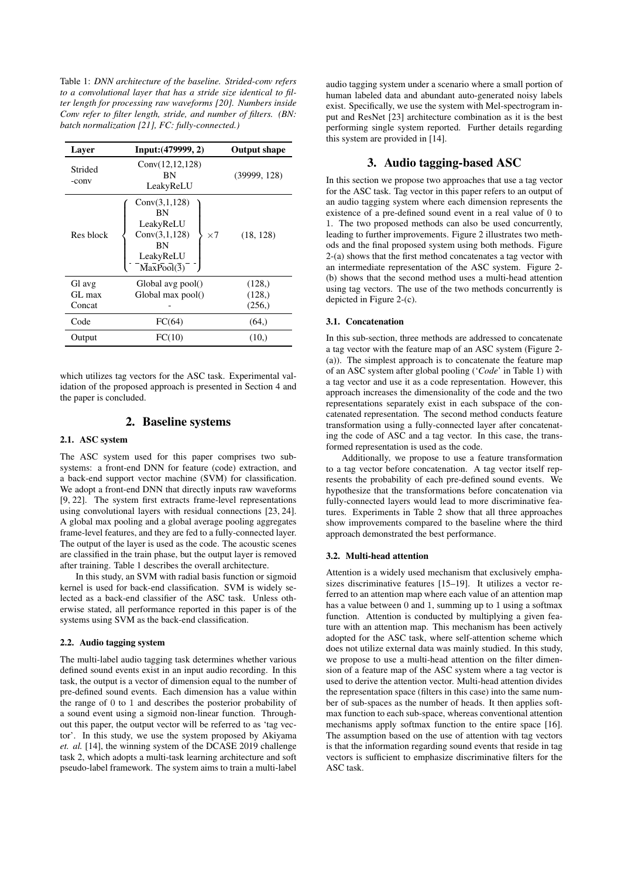Table 1: *DNN architecture of the baseline. Strided-conv refers to a convolutional layer that has a stride size identical to filter length for processing raw waveforms [20]. Numbers inside Conv refer to filter length, stride, and number of filters. (BN: batch normalization [21], FC: fully-connected.)*

| Layer            | Input: (479999, 2)                                                                               | <b>Output shape</b> |
|------------------|--------------------------------------------------------------------------------------------------|---------------------|
| Strided<br>-conv | Conv(12, 12, 128)<br>ΒN<br>LeakyReLU                                                             | (39999, 128)        |
| Res block        | Conv(3,1,128)<br>BN<br>LeakyReLU<br>Conv(3,1,128)<br>$\times$ 7<br>BN<br>LeakyReLU<br>MaxPool(3) | (18, 128)           |
| Gl avg           | Global avg pool()                                                                                | (128, )             |
| GL max           | Global max pool()                                                                                | (128, )             |
| Concat           |                                                                                                  | (256, )             |
| Code             | FC(64)                                                                                           | (64, )              |
| Output           | FC(10)                                                                                           | (10.)               |
|                  |                                                                                                  |                     |

which utilizes tag vectors for the ASC task. Experimental validation of the proposed approach is presented in Section 4 and the paper is concluded.

### 2. Baseline systems

### 2.1. ASC system

The ASC system used for this paper comprises two subsystems: a front-end DNN for feature (code) extraction, and a back-end support vector machine (SVM) for classification. We adopt a front-end DNN that directly inputs raw waveforms [9, 22]. The system first extracts frame-level representations using convolutional layers with residual connections [23, 24]. A global max pooling and a global average pooling aggregates frame-level features, and they are fed to a fully-connected layer. The output of the layer is used as the code. The acoustic scenes are classified in the train phase, but the output layer is removed after training. Table 1 describes the overall architecture.

In this study, an SVM with radial basis function or sigmoid kernel is used for back-end classification. SVM is widely selected as a back-end classifier of the ASC task. Unless otherwise stated, all performance reported in this paper is of the systems using SVM as the back-end classification.

### 2.2. Audio tagging system

The multi-label audio tagging task determines whether various defined sound events exist in an input audio recording. In this task, the output is a vector of dimension equal to the number of pre-defined sound events. Each dimension has a value within the range of 0 to 1 and describes the posterior probability of a sound event using a sigmoid non-linear function. Throughout this paper, the output vector will be referred to as 'tag vector'. In this study, we use the system proposed by Akiyama *et. al.* [14], the winning system of the DCASE 2019 challenge task 2, which adopts a multi-task learning architecture and soft pseudo-label framework. The system aims to train a multi-label

audio tagging system under a scenario where a small portion of human labeled data and abundant auto-generated noisy labels exist. Specifically, we use the system with Mel-spectrogram input and ResNet [23] architecture combination as it is the best performing single system reported. Further details regarding this system are provided in [14].

## 3. Audio tagging-based ASC

In this section we propose two approaches that use a tag vector for the ASC task. Tag vector in this paper refers to an output of an audio tagging system where each dimension represents the existence of a pre-defined sound event in a real value of 0 to 1. The two proposed methods can also be used concurrently, leading to further improvements. Figure 2 illustrates two methods and the final proposed system using both methods. Figure 2-(a) shows that the first method concatenates a tag vector with an intermediate representation of the ASC system. Figure 2- (b) shows that the second method uses a multi-head attention using tag vectors. The use of the two methods concurrently is depicted in Figure 2-(c).

### 3.1. Concatenation

In this sub-section, three methods are addressed to concatenate a tag vector with the feature map of an ASC system (Figure 2- (a)). The simplest approach is to concatenate the feature map of an ASC system after global pooling ('*Code*' in Table 1) with a tag vector and use it as a code representation. However, this approach increases the dimensionality of the code and the two representations separately exist in each subspace of the concatenated representation. The second method conducts feature transformation using a fully-connected layer after concatenating the code of ASC and a tag vector. In this case, the transformed representation is used as the code.

Additionally, we propose to use a feature transformation to a tag vector before concatenation. A tag vector itself represents the probability of each pre-defined sound events. We hypothesize that the transformations before concatenation via fully-connected layers would lead to more discriminative features. Experiments in Table 2 show that all three approaches show improvements compared to the baseline where the third approach demonstrated the best performance.

### 3.2. Multi-head attention

Attention is a widely used mechanism that exclusively emphasizes discriminative features [15–19]. It utilizes a vector referred to an attention map where each value of an attention map has a value between 0 and 1, summing up to 1 using a softmax function. Attention is conducted by multiplying a given feature with an attention map. This mechanism has been actively adopted for the ASC task, where self-attention scheme which does not utilize external data was mainly studied. In this study, we propose to use a multi-head attention on the filter dimension of a feature map of the ASC system where a tag vector is used to derive the attention vector. Multi-head attention divides the representation space (filters in this case) into the same number of sub-spaces as the number of heads. It then applies softmax function to each sub-space, whereas conventional attention mechanisms apply softmax function to the entire space [16]. The assumption based on the use of attention with tag vectors is that the information regarding sound events that reside in tag vectors is sufficient to emphasize discriminative filters for the ASC task.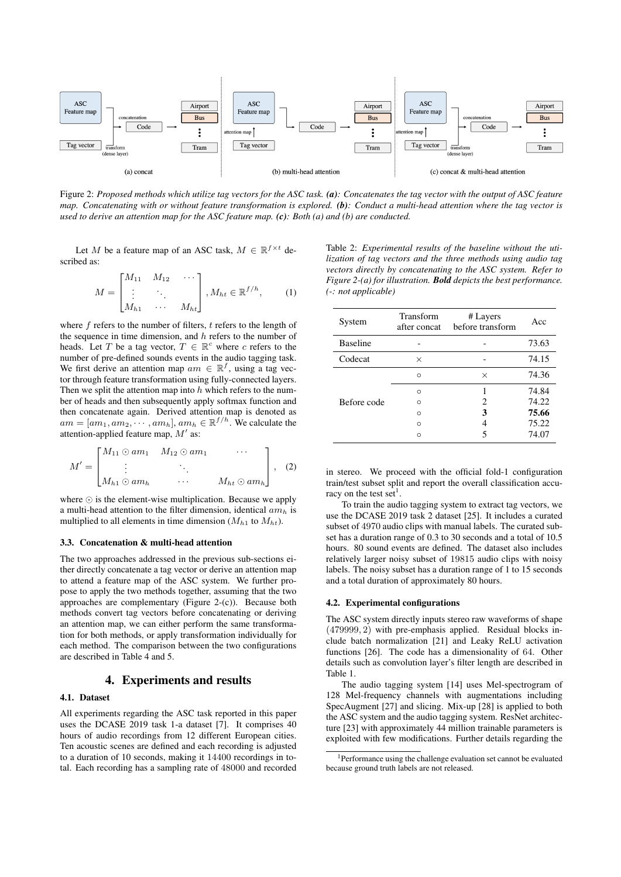

Figure 2: *Proposed methods which utilize tag vectors for the ASC task. (a): Concatenates the tag vector with the output of ASC feature map. Concatenating with or without feature transformation is explored. (b): Conduct a multi-head attention where the tag vector is used to derive an attention map for the ASC feature map. (c): Both (a) and (b) are conducted.*

Let M be a feature map of an ASC task,  $M \in \mathbb{R}^{f \times t}$  described as:

$$
M = \begin{bmatrix} M_{11} & M_{12} & \cdots \\ \vdots & \ddots & \vdots \\ M_{h1} & \cdots & M_{ht} \end{bmatrix}, M_{ht} \in \mathbb{R}^{f/h}, \qquad (1)
$$

where  $f$  refers to the number of filters,  $t$  refers to the length of the sequence in time dimension, and  $h$  refers to the number of heads. Let T be a tag vector,  $T \in \mathbb{R}^c$  where c refers to the number of pre-defined sounds events in the audio tagging task. We first derive an attention map  $am \in \mathbb{R}^f$ , using a tag vector through feature transformation using fully-connected layers. Then we split the attention map into  $h$  which refers to the number of heads and then subsequently apply softmax function and then concatenate again. Derived attention map is denoted as  $am = [am_1, am_2, \cdots, am_h], am_h \in \mathbb{R}^{f/h}$ . We calculate the attention-applied feature map,  $M'$  as:

$$
M' = \begin{bmatrix} M_{11} \odot am_1 & M_{12} \odot am_1 & \cdots \\ \vdots & \ddots & \vdots \\ M_{h1} \odot am_h & \cdots & M_{ht} \odot am_h \end{bmatrix}, (2)
$$

where  $\odot$  is the element-wise multiplication. Because we apply a multi-head attention to the filter dimension, identical  $am_h$  is multiplied to all elements in time dimension  $(M_{h1}$  to  $M_{ht}$ ).

#### 3.3. Concatenation & multi-head attention

The two approaches addressed in the previous sub-sections either directly concatenate a tag vector or derive an attention map to attend a feature map of the ASC system. We further propose to apply the two methods together, assuming that the two approaches are complementary (Figure 2-(c)). Because both methods convert tag vectors before concatenating or deriving an attention map, we can either perform the same transformation for both methods, or apply transformation individually for each method. The comparison between the two configurations are described in Table 4 and 5.

# 4. Experiments and results

### 4.1. Dataset

All experiments regarding the ASC task reported in this paper uses the DCASE 2019 task 1-a dataset [7]. It comprises 40 hours of audio recordings from 12 different European cities. Ten acoustic scenes are defined and each recording is adjusted to a duration of 10 seconds, making it 14400 recordings in total. Each recording has a sampling rate of 48000 and recorded

Table 2: *Experimental results of the baseline without the utilization of tag vectors and the three methods using audio tag vectors directly by concatenating to the ASC system. Refer to Figure 2-(a) for illustration. Bold depicts the best performance. (-: not applicable)*

| System          | Transform<br>after concat | # Layers<br>before transform | Acc   |
|-----------------|---------------------------|------------------------------|-------|
| <b>Baseline</b> |                           |                              | 73.63 |
| Codecat         | $\times$                  |                              | 74.15 |
|                 | $\Omega$                  | $\times$                     | 74.36 |
|                 | $\Omega$                  |                              | 74.84 |
| Before code     | Ω                         | 2                            | 74.22 |
|                 | $\Omega$                  | 3                            | 75.66 |
|                 | $\Omega$                  |                              | 75.22 |
|                 | ∩                         |                              | 74.07 |

in stereo. We proceed with the official fold-1 configuration train/test subset split and report the overall classification accuracy on the test set<sup>1</sup>.

To train the audio tagging system to extract tag vectors, we use the DCASE 2019 task 2 dataset [25]. It includes a curated subset of 4970 audio clips with manual labels. The curated subset has a duration range of 0.3 to 30 seconds and a total of 10.5 hours. 80 sound events are defined. The dataset also includes relatively larger noisy subset of 19815 audio clips with noisy labels. The noisy subset has a duration range of 1 to 15 seconds and a total duration of approximately 80 hours.

### 4.2. Experimental configurations

The ASC system directly inputs stereo raw waveforms of shape (479999, 2) with pre-emphasis applied. Residual blocks include batch normalization [21] and Leaky ReLU activation functions [26]. The code has a dimensionality of 64. Other details such as convolution layer's filter length are described in Table 1.

The audio tagging system [14] uses Mel-spectrogram of 128 Mel-frequency channels with augmentations including SpecAugment [27] and slicing. Mix-up [28] is applied to both the ASC system and the audio tagging system. ResNet architecture [23] with approximately 44 million trainable parameters is exploited with few modifications. Further details regarding the

<sup>1</sup>Performance using the challenge evaluation set cannot be evaluated because ground truth labels are not released.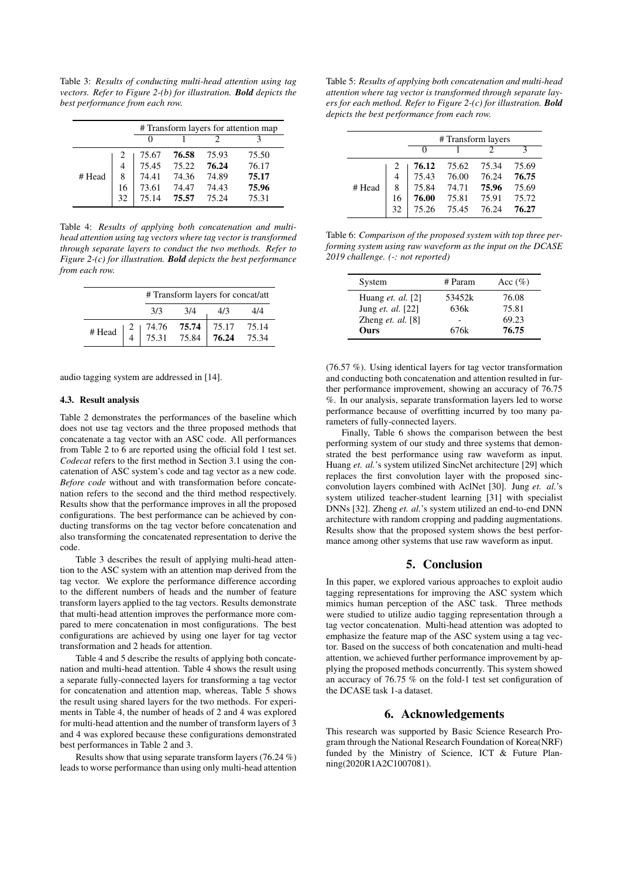Table 3: *Results of conducting multi-head attention using tag vectors. Refer to Figure 2-(b) for illustration. Bold depicts the best performance from each row.*

|        |    | # Transform layers for attention map |       |       |       |
|--------|----|--------------------------------------|-------|-------|-------|
|        |    |                                      |       |       |       |
| # Head | 2  | 75.67                                | 76.58 | 75.93 | 75.50 |
|        | 4  | 75.45                                | 75.22 | 76.24 | 76.17 |
|        | 8  | 74.41                                | 74.36 | 74.89 | 75.17 |
|        | 16 | 73.61                                | 74.47 | 74.43 | 75.96 |
|        | 32 | 75.14                                | 75.57 | 75.24 | 75.31 |

Table 4: *Results of applying both concatenation and multihead attention using tag vectors where tag vector is transformed through separate layers to conduct the two methods. Refer to Figure 2-(c) for illustration. Bold depicts the best performance from each row.*

|        | # Transform layers for concat/att                                          |     |                                   |     |
|--------|----------------------------------------------------------------------------|-----|-----------------------------------|-----|
|        | 3/3                                                                        | 3/4 | 4/3                               | 4/4 |
| # Head | $\begin{array}{c cc}\n2 & 74.76 & 75.74 \\ 4 & 75.31 & 75.84\n\end{array}$ |     | 75.17 75.14<br><b>76.24</b> 75.34 |     |

audio tagging system are addressed in [14].

### 4.3. Result analysis

Table 2 demonstrates the performances of the baseline which does not use tag vectors and the three proposed methods that concatenate a tag vector with an ASC code. All performances from Table 2 to 6 are reported using the official fold 1 test set. *Codecat* refers to the first method in Section 3.1 using the concatenation of ASC system's code and tag vector as a new code. *Before code* without and with transformation before concatenation refers to the second and the third method respectively. Results show that the performance improves in all the proposed configurations. The best performance can be achieved by conducting transforms on the tag vector before concatenation and also transforming the concatenated representation to derive the code.

Table 3 describes the result of applying multi-head attention to the ASC system with an attention map derived from the tag vector. We explore the performance difference according to the different numbers of heads and the number of feature transform layers applied to the tag vectors. Results demonstrate that multi-head attention improves the performance more compared to mere concatenation in most configurations. The best configurations are achieved by using one layer for tag vector transformation and 2 heads for attention.

Table 4 and 5 describe the results of applying both concatenation and multi-head attention. Table 4 shows the result using a separate fully-connected layers for transforming a tag vector for concatenation and attention map, whereas, Table 5 shows the result using shared layers for the two methods. For experiments in Table 4, the number of heads of 2 and 4 was explored for multi-head attention and the number of transform layers of 3 and 4 was explored because these configurations demonstrated best performances in Table 2 and 3.

Results show that using separate transform layers (76.24 %) leads to worse performance than using only multi-head attention

Table 5: *Results of applying both concatenation and multi-head attention where tag vector is transformed through separate layers for each method. Refer to Figure 2-(c) for illustration. Bold depicts the best performance from each row.*

|        |    | #Transform layers |       |       |       |
|--------|----|-------------------|-------|-------|-------|
|        |    | $\mathbf{\Omega}$ |       |       |       |
|        |    | 76.12             | 75.62 | 75.34 | 75.69 |
|        | 4  | 75.43             | 76.00 | 76.24 | 76.75 |
| # Head | 8  | 75.84             | 74.71 | 75.96 | 75.69 |
|        | 16 | 76.00             | 75.81 | 75.91 | 75.72 |
|        | 32 | 75.26             | 75.45 | 76.24 | 76.27 |

Table 6: *Comparison of the proposed system with top three performing system using raw waveform as the input on the DCASE 2019 challenge. (-: not reported)*

| System                     | # Param | Acc $(\%)$ |
|----------------------------|---------|------------|
| Huang <i>et. al.</i> $[2]$ | 53452k  | 76.08      |
| Jung et. al. [22]          | 636k    | 75.81      |
| Zheng <i>et. al.</i> $[8]$ |         | 69.23      |
| Ours                       | 676k    | 76.75      |

(76.57 %). Using identical layers for tag vector transformation and conducting both concatenation and attention resulted in further performance improvement, showing an accuracy of 76.75 %. In our analysis, separate transformation layers led to worse performance because of overfitting incurred by too many parameters of fully-connected layers.

Finally, Table 6 shows the comparison between the best performing system of our study and three systems that demonstrated the best performance using raw waveform as input. Huang *et. al.*'s system utilized SincNet architecture [29] which replaces the first convolution layer with the proposed sincconvolution layers combined with AclNet [30]. Jung *et. al.*'s system utilized teacher-student learning [31] with specialist DNNs [32]. Zheng *et. al.*'s system utilized an end-to-end DNN architecture with random cropping and padding augmentations. Results show that the proposed system shows the best performance among other systems that use raw waveform as input.

# 5. Conclusion

In this paper, we explored various approaches to exploit audio tagging representations for improving the ASC system which mimics human perception of the ASC task. Three methods were studied to utilize audio tagging representation through a tag vector concatenation. Multi-head attention was adopted to emphasize the feature map of the ASC system using a tag vector. Based on the success of both concatenation and multi-head attention, we achieved further performance improvement by applying the proposed methods concurrently. This system showed an accuracy of 76.75 % on the fold-1 test set configuration of the DCASE task 1-a dataset.

### 6. Acknowledgements

This research was supported by Basic Science Research Program through the National Research Foundation of Korea(NRF) funded by the Ministry of Science, ICT & Future Planning(2020R1A2C1007081).